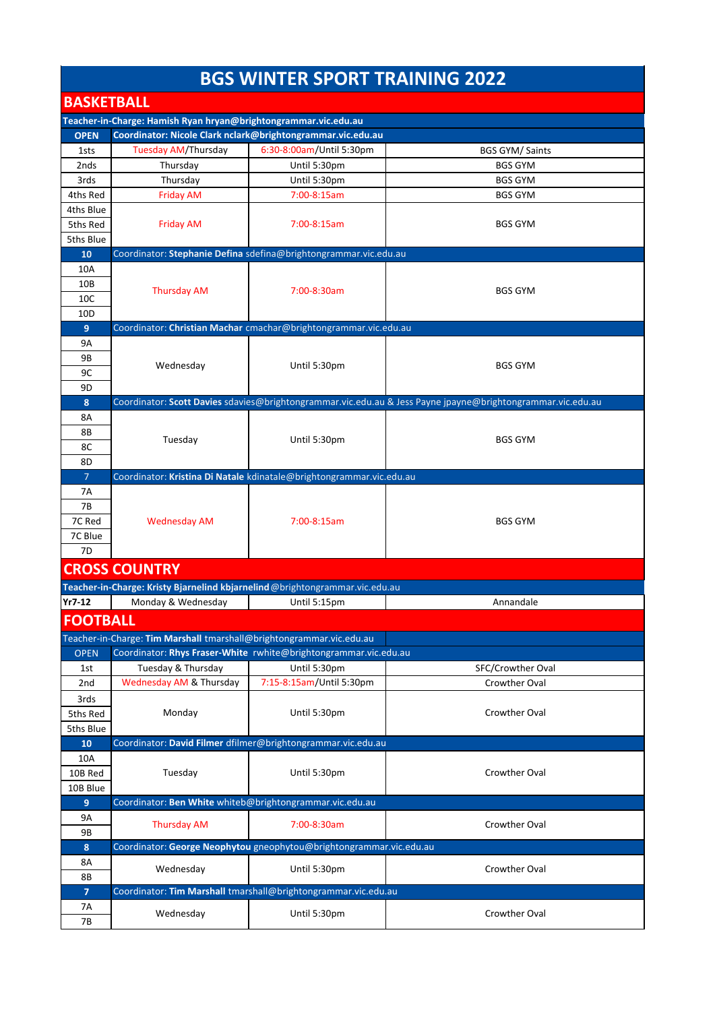## **BGS WINTER SPORT TRAINING 2022**

| <b>BASKETBALL</b>                                               |                                                                             |                                                                      |                                                                                                             |  |  |
|-----------------------------------------------------------------|-----------------------------------------------------------------------------|----------------------------------------------------------------------|-------------------------------------------------------------------------------------------------------------|--|--|
| Teacher-in-Charge: Hamish Ryan hryan@brightongrammar.vic.edu.au |                                                                             |                                                                      |                                                                                                             |  |  |
| <b>OPEN</b>                                                     | Coordinator: Nicole Clark nclark@brightongrammar.vic.edu.au                 |                                                                      |                                                                                                             |  |  |
| 1sts                                                            | <b>Tuesday AM/Thursday</b>                                                  | 6:30-8:00am/Until 5:30pm                                             | <b>BGS GYM/ Saints</b>                                                                                      |  |  |
| 2nds                                                            | Thursday                                                                    | Until 5:30pm                                                         | <b>BGS GYM</b>                                                                                              |  |  |
| 3rds                                                            | Thursday                                                                    | Until 5:30pm                                                         | <b>BGS GYM</b>                                                                                              |  |  |
| 4ths Red                                                        | <b>Friday AM</b>                                                            | 7:00-8:15am                                                          | <b>BGS GYM</b>                                                                                              |  |  |
| 4ths Blue                                                       |                                                                             |                                                                      |                                                                                                             |  |  |
| 5ths Red                                                        | <b>Friday AM</b>                                                            | 7:00-8:15am                                                          | <b>BGS GYM</b>                                                                                              |  |  |
| 5ths Blue                                                       |                                                                             |                                                                      |                                                                                                             |  |  |
| 10                                                              |                                                                             | Coordinator: Stephanie Defina sdefina@brightongrammar.vic.edu.au     |                                                                                                             |  |  |
| 10A                                                             |                                                                             |                                                                      |                                                                                                             |  |  |
| 10B                                                             | <b>Thursday AM</b>                                                          | 7:00-8:30am                                                          | <b>BGS GYM</b>                                                                                              |  |  |
| 10 <sup>C</sup>                                                 |                                                                             |                                                                      |                                                                                                             |  |  |
| 10 <sub>D</sub>                                                 |                                                                             |                                                                      |                                                                                                             |  |  |
| 9                                                               |                                                                             | Coordinator: Christian Machar cmachar@brightongrammar.vic.edu.au     |                                                                                                             |  |  |
| 9A                                                              |                                                                             |                                                                      |                                                                                                             |  |  |
| 9B                                                              | Wednesday                                                                   | Until 5:30pm                                                         | <b>BGS GYM</b>                                                                                              |  |  |
| 9C                                                              |                                                                             |                                                                      |                                                                                                             |  |  |
| 9D                                                              |                                                                             |                                                                      |                                                                                                             |  |  |
| 8                                                               |                                                                             |                                                                      | Coordinator: Scott Davies sdavies@brightongrammar.vic.edu.au & Jess Payne jpayne@brightongrammar.vic.edu.au |  |  |
| 8A                                                              |                                                                             |                                                                      |                                                                                                             |  |  |
| 8Β                                                              | Tuesday                                                                     | Until 5:30pm                                                         | <b>BGS GYM</b>                                                                                              |  |  |
| 8C                                                              |                                                                             |                                                                      |                                                                                                             |  |  |
| 8D                                                              |                                                                             | Coordinator: Kristina Di Natale kdinatale@brightongrammar.vic.edu.au |                                                                                                             |  |  |
| $\overline{7}$<br>7Α                                            |                                                                             |                                                                      |                                                                                                             |  |  |
| 7B                                                              |                                                                             |                                                                      |                                                                                                             |  |  |
| 7C Red                                                          | <b>Wednesday AM</b>                                                         | 7:00-8:15am                                                          | <b>BGS GYM</b>                                                                                              |  |  |
| 7C Blue                                                         |                                                                             |                                                                      |                                                                                                             |  |  |
| 7D                                                              |                                                                             |                                                                      |                                                                                                             |  |  |
|                                                                 | <b>CROSS COUNTRY</b>                                                        |                                                                      |                                                                                                             |  |  |
|                                                                 | Teacher-in-Charge: Kristy Bjarnelind kbjarnelind@brightongrammar.vic.edu.au |                                                                      |                                                                                                             |  |  |
| $Yr7-12$                                                        | Monday & Wednesday                                                          | Until 5:15pm                                                         | Annandale                                                                                                   |  |  |
|                                                                 |                                                                             |                                                                      |                                                                                                             |  |  |
| <b>FOOTBALL</b>                                                 |                                                                             |                                                                      |                                                                                                             |  |  |
|                                                                 | Teacher-in-Charge: Tim Marshall tmarshall@brightongrammar.vic.edu.au        |                                                                      |                                                                                                             |  |  |
| <b>OPEN</b>                                                     |                                                                             | Coordinator: Rhys Fraser-White rwhite@brightongrammar.vic.edu.au     |                                                                                                             |  |  |
| 1st                                                             | Tuesday & Thursday                                                          | Until 5:30pm                                                         | SFC/Crowther Oval                                                                                           |  |  |
| 2nd                                                             | Wednesday AM & Thursday                                                     | 7:15-8:15am/Until 5:30pm                                             | Crowther Oval                                                                                               |  |  |
| 3rds                                                            |                                                                             |                                                                      |                                                                                                             |  |  |
| 5ths Red                                                        | Monday                                                                      | Until 5:30pm                                                         | Crowther Oval                                                                                               |  |  |
| 5ths Blue                                                       |                                                                             |                                                                      |                                                                                                             |  |  |
| 10                                                              |                                                                             | Coordinator: David Filmer dfilmer@brightongrammar.vic.edu.au         |                                                                                                             |  |  |
| 10A                                                             |                                                                             |                                                                      |                                                                                                             |  |  |
| 10B Red                                                         | Tuesday                                                                     | Until 5:30pm                                                         | Crowther Oval                                                                                               |  |  |
| 10B Blue                                                        |                                                                             |                                                                      |                                                                                                             |  |  |
| 9                                                               | Coordinator: Ben White whiteb@brightongrammar.vic.edu.au                    |                                                                      |                                                                                                             |  |  |
| 9Α<br>9Β                                                        | <b>Thursday AM</b>                                                          | 7:00-8:30am                                                          | Crowther Oval                                                                                               |  |  |
| 8                                                               |                                                                             | Coordinator: George Neophytou gneophytou@brightongrammar.vic.edu.au  |                                                                                                             |  |  |
| 8A                                                              |                                                                             |                                                                      |                                                                                                             |  |  |
| 8Β                                                              | Wednesday                                                                   | Until 5:30pm                                                         | Crowther Oval                                                                                               |  |  |
| $\overline{7}$                                                  |                                                                             | Coordinator: Tim Marshall tmarshall@brightongrammar.vic.edu.au       |                                                                                                             |  |  |
|                                                                 |                                                                             |                                                                      |                                                                                                             |  |  |
| 7A                                                              | Wednesday                                                                   | Until 5:30pm                                                         |                                                                                                             |  |  |